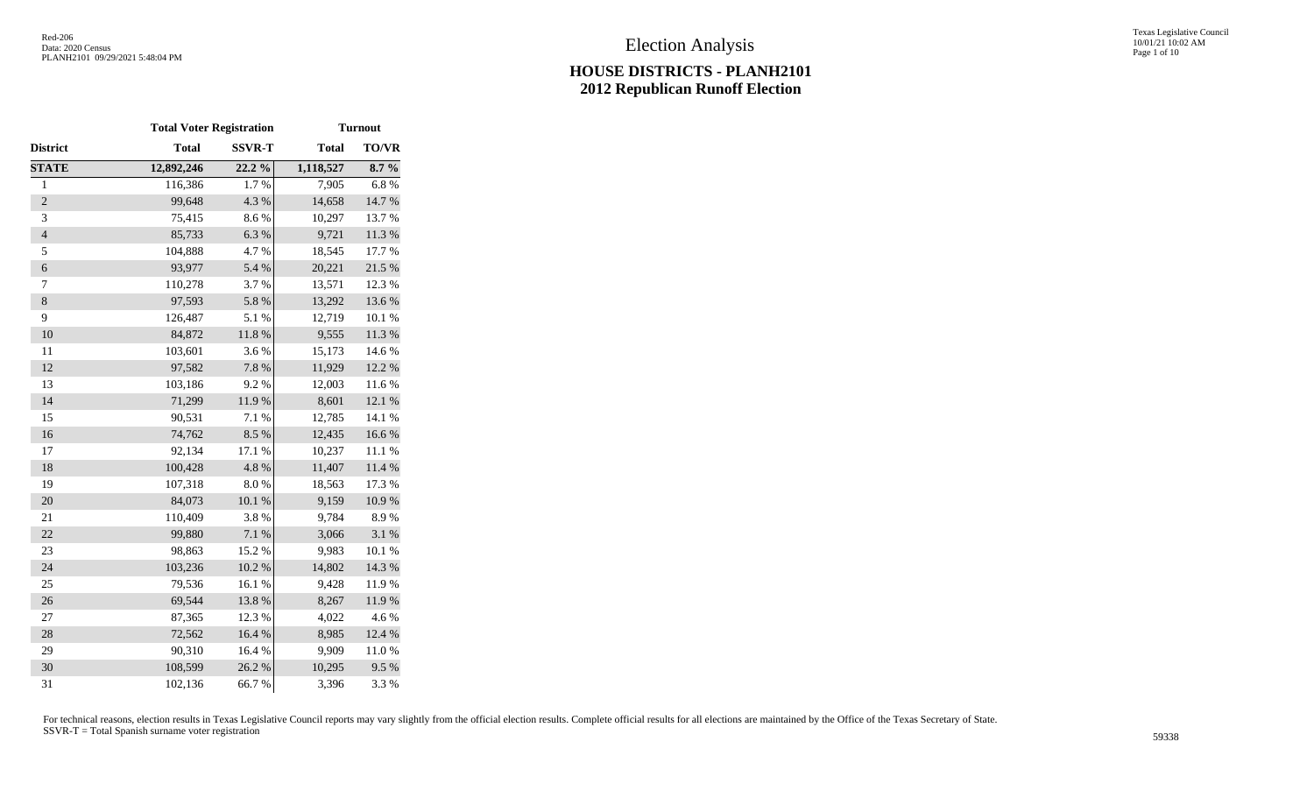|                | <b>Total Voter Registration</b> |               | <b>Turnout</b> |              |  |  |  |  |
|----------------|---------------------------------|---------------|----------------|--------------|--|--|--|--|
| District       | <b>Total</b>                    | <b>SSVR-T</b> | <b>Total</b>   | <b>TO/VR</b> |  |  |  |  |
| <b>STATE</b>   | 12,892,246                      | $22.2\%$      | 1,118,527      | 8.7%         |  |  |  |  |
| $\,1$          | 116,386                         | 1.7%          | 7,905          | 6.8%         |  |  |  |  |
| $\overline{c}$ | 99,648                          | 4.3 %         | 14,658         | 14.7 %       |  |  |  |  |
| 3              | 75,415                          | 8.6%          | 10,297         | 13.7 %       |  |  |  |  |
| $\overline{4}$ | 85,733                          | 6.3%          | 9,721          | 11.3 %       |  |  |  |  |
| 5              | 104,888                         | 4.7%          | 18,545         | 17.7 %       |  |  |  |  |
| 6              | 93,977                          | 5.4 %         | 20,221         | 21.5 %       |  |  |  |  |
| 7              | 110,278                         | 3.7%          | 13,571         | 12.3 %       |  |  |  |  |
| $\,8$          | 97,593                          | 5.8%          | 13,292         | 13.6 %       |  |  |  |  |
| 9              | 126,487                         | 5.1 %         | 12,719         | 10.1 %       |  |  |  |  |
| 10             | 84,872                          | 11.8 %        | 9,555          | 11.3 %       |  |  |  |  |
| 11             | 103,601                         | 3.6%          | 15,173         | 14.6 %       |  |  |  |  |
| 12             | 97,582                          | 7.8 %         | 11,929         | 12.2 %       |  |  |  |  |
| 13             | 103,186                         | 9.2%          | 12,003         | 11.6 %       |  |  |  |  |
| 14             | 71,299                          | 11.9%         | 8,601          | 12.1 %       |  |  |  |  |
| 15             | 90,531                          | 7.1 %         | 12,785         | 14.1 %       |  |  |  |  |
| 16             | 74,762                          | 8.5%          | 12,435         | 16.6%        |  |  |  |  |
| 17             | 92,134                          | 17.1 %        | 10,237         | 11.1 %       |  |  |  |  |
| 18             | 100,428                         | 4.8%          | 11,407         | $11.4\ \%$   |  |  |  |  |
| 19             | 107,318                         | $8.0\ \%$     | 18,563         | 17.3 %       |  |  |  |  |
| 20             | 84,073                          | 10.1 %        | 9,159          | 10.9%        |  |  |  |  |
| 21             | 110,409                         | 3.8%          | 9,784          | 8.9%         |  |  |  |  |
| 22             | 99,880                          | 7.1 %         | 3,066          | 3.1 %        |  |  |  |  |
| 23             | 98,863                          | 15.2 %        | 9,983          | 10.1 %       |  |  |  |  |
| 24             | 103,236                         | 10.2 %        | 14,802         | 14.3 %       |  |  |  |  |
| 25             | 79,536                          | 16.1 %        | 9,428          | 11.9%        |  |  |  |  |
| 26             | 69,544                          | 13.8%         | 8,267          | 11.9%        |  |  |  |  |
| 27             | 87,365                          | 12.3 %        | 4,022          | 4.6%         |  |  |  |  |
| 28             | 72,562                          | 16.4%         | 8,985          | 12.4 %       |  |  |  |  |
| 29             | 90,310                          | 16.4 %        | 9,909          | 11.0%        |  |  |  |  |
| 30             | 108,599                         | 26.2 %        | 10,295         | 9.5%         |  |  |  |  |
| 31             | 102,136                         | 66.7%         | 3,396          | 3.3%         |  |  |  |  |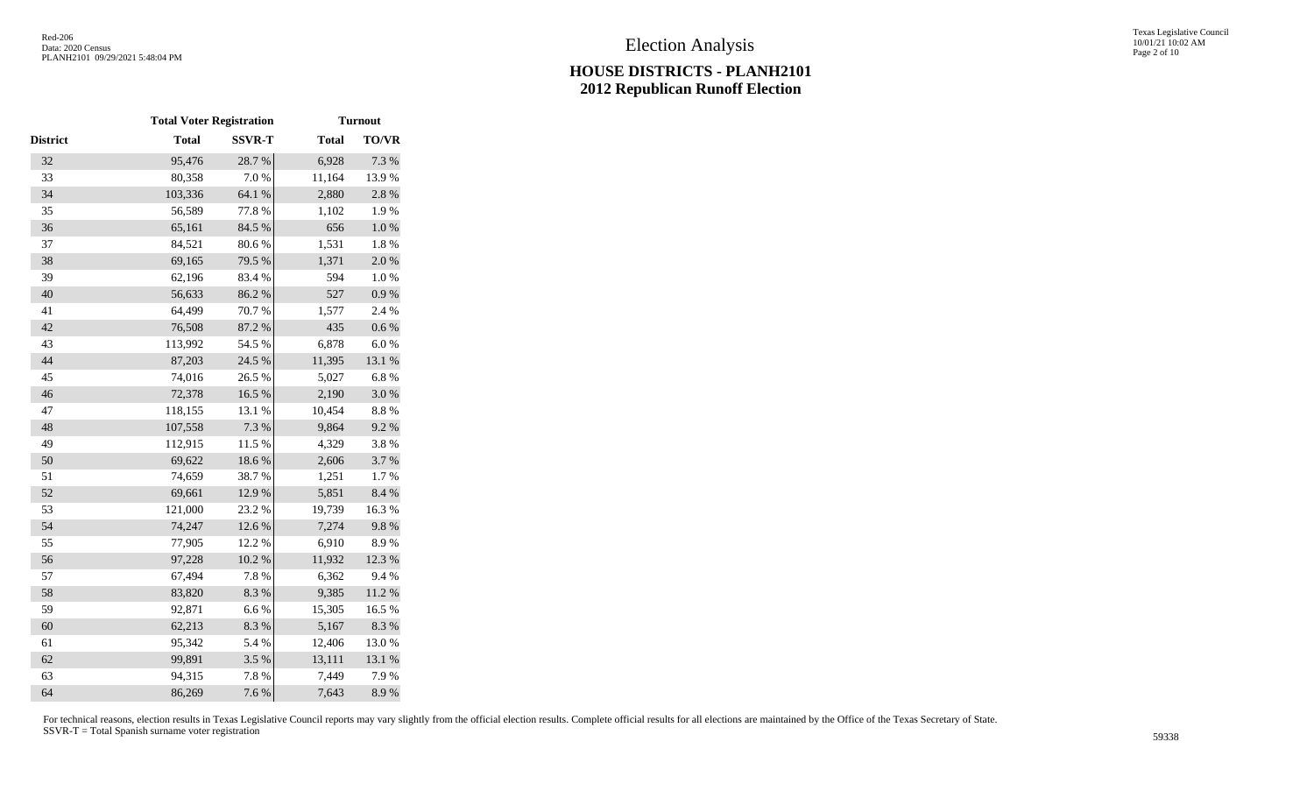|                 | <b>Total Voter Registration</b> |               |              | <b>Turnout</b> |
|-----------------|---------------------------------|---------------|--------------|----------------|
| <b>District</b> | <b>Total</b>                    | <b>SSVR-T</b> | <b>Total</b> | <b>TO/VR</b>   |
| 32              | 95,476                          | 28.7%         | 6,928        | 7.3 %          |
| 33              | 80,358                          | 7.0%          | 11,164       | 13.9%          |
| 34              | 103,336                         | 64.1 %        | 2,880        | $2.8\ \%$      |
| 35              | 56,589                          | 77.8%         | 1,102        | 1.9%           |
| 36              | 65,161                          | 84.5 %        | 656          | $1.0\ \%$      |
| 37              | 84,521                          | 80.6%         | 1,531        | $1.8\ \%$      |
| 38              | 69,165                          | 79.5 %        | 1,371        | 2.0%           |
| 39              | 62,196                          | 83.4%         | 594          | $1.0\ \%$      |
| 40              | 56,633                          | 86.2%         | 527          | 0.9 %          |
| 41              | 64,499                          | 70.7%         | 1,577        | 2.4 %          |
| 42              | 76,508                          | 87.2 %        | 435          | 0.6 %          |
| 43              | 113,992                         | 54.5 %        | 6,878        | $6.0\ \%$      |
| 44              | 87,203                          | 24.5 %        | 11,395       | 13.1 %         |
| 45              | 74,016                          | 26.5 %        | 5,027        | 6.8%           |
| 46              | 72,378                          | 16.5 %        | 2,190        | $3.0\ \%$      |
| 47              | 118,155                         | 13.1 %        | 10,454       | 8.8%           |
| 48              | 107,558                         | 7.3 %         | 9,864        | 9.2%           |
| 49              | 112,915                         | 11.5 %        | 4,329        | 3.8%           |
| 50              | 69,622                          | 18.6%         | 2,606        | 3.7%           |
| 51              | 74,659                          | 38.7%         | 1,251        | 1.7%           |
| 52              | 69,661                          | 12.9%         | 5,851        | $8.4~\%$       |
| 53              | 121,000                         | 23.2 %        | 19,739       | 16.3%          |
| 54              | 74,247                          | 12.6%         | 7,274        | 9.8%           |
| 55              | 77,905                          | 12.2 %        | 6,910        | 8.9%           |
| 56              | 97,228                          | $10.2~\%$     | 11,932       | 12.3 %         |
| 57              | 67,494                          | 7.8 %         | 6,362        | 9.4%           |
| 58              | 83,820                          | 8.3 %         | 9,385        | $11.2\ \%$     |
| 59              | 92,871                          | $6.6\;\%$     | 15,305       | 16.5%          |
| 60              | 62,213                          | 8.3 %         | 5,167        | 8.3%           |
| 61              | 95,342                          | 5.4 %         | 12,406       | 13.0%          |
| 62              | 99,891                          | 3.5 %         | 13,111       | 13.1 %         |
| 63              | 94,315                          | 7.8 %         | 7,449        | 7.9%           |
| 64              | 86,269                          | 7.6 %         | 7,643        | 8.9%           |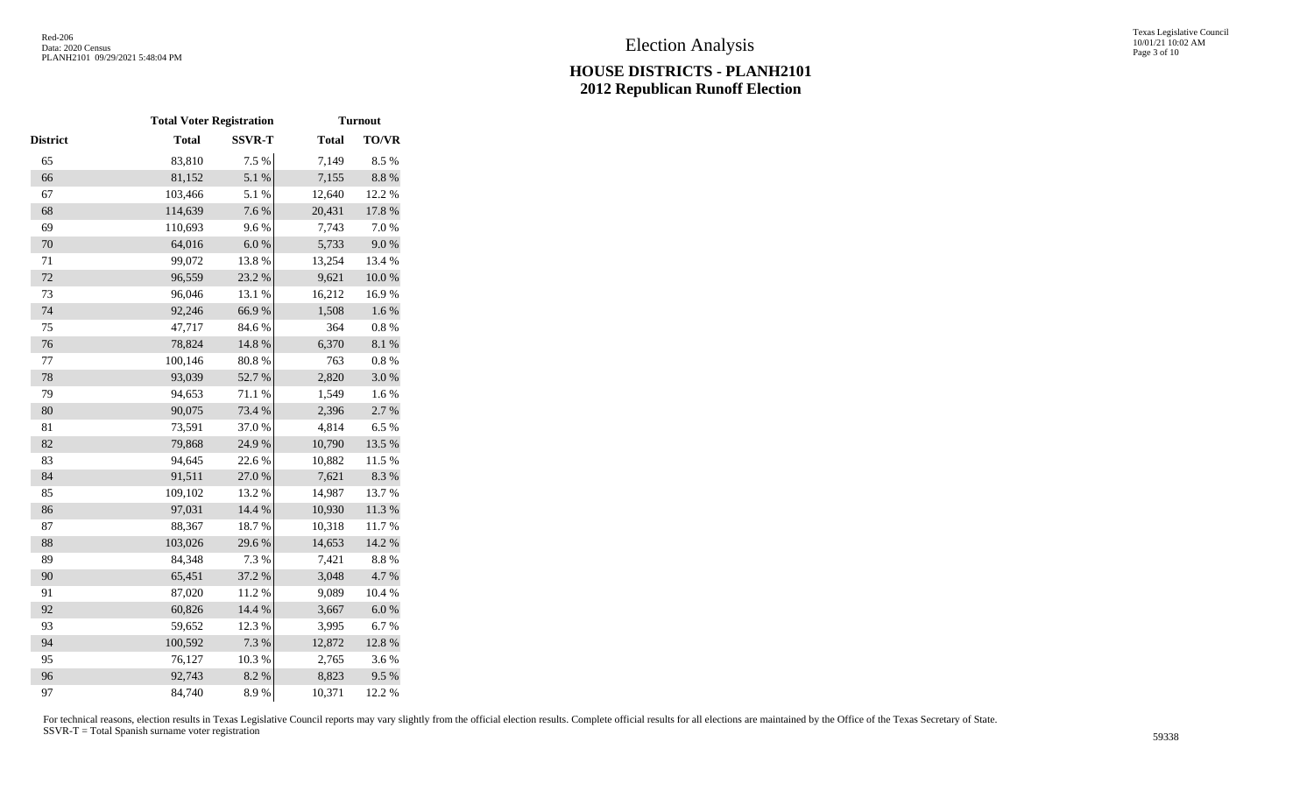|          | <b>Total Voter Registration</b> |               |              | <b>Turnout</b> |  |  |
|----------|---------------------------------|---------------|--------------|----------------|--|--|
| District | <b>Total</b>                    | <b>SSVR-T</b> | <b>Total</b> | TO/VR          |  |  |
| 65       | 83,810                          | 7.5 %         | 7,149        | 8.5%           |  |  |
| 66       | 81,152                          | 5.1 %         | 7,155        | $8.8~\%$       |  |  |
| 67       | 103,466                         | 5.1 %         | 12,640       | 12.2 %         |  |  |
| 68       | 114,639                         | 7.6 %         | 20,431       | 17.8 %         |  |  |
| 69       | 110,693                         | 9.6%          | 7,743        | 7.0%           |  |  |
| 70       | 64,016                          | 6.0 %         | 5,733        | 9.0%           |  |  |
| 71       | 99,072                          | 13.8 %        | 13,254       | 13.4 %         |  |  |
| $72\,$   | 96,559                          | 23.2 %        | 9,621        | $10.0~\%$      |  |  |
| 73       | 96,046                          | 13.1 %        | 16,212       | 16.9%          |  |  |
| 74       | 92,246                          | 66.9%         | 1,508        | 1.6 %          |  |  |
| 75       | 47,717                          | 84.6%         | 364          | 0.8 %          |  |  |
| 76       | 78,824                          | 14.8 %        | 6,370        | 8.1%           |  |  |
| 77       | 100,146                         | 80.8 %        | 763          | $0.8~\%$       |  |  |
| 78       | 93,039                          | 52.7%         | 2,820        | 3.0%           |  |  |
| 79       | 94,653                          | 71.1 %        | 1,549        | 1.6%           |  |  |
| 80       | 90,075                          | 73.4 %        | 2,396        | 2.7 %          |  |  |
| 81       | 73,591                          | 37.0%         | 4,814        | 6.5%           |  |  |
| 82       | 79,868                          | 24.9%         | 10,790       | 13.5 %         |  |  |
| 83       | 94,645                          | 22.6 %        | 10,882       | 11.5 %         |  |  |
| 84       | 91,511                          | $27.0\;\%$    | 7,621        | 8.3 %          |  |  |
| 85       | 109,102                         | 13.2 %        | 14,987       | 13.7%          |  |  |
| 86       | 97,031                          | 14.4 %        | 10,930       | 11.3 %         |  |  |
| 87       | 88,367                          | 18.7%         | 10,318       | 11.7%          |  |  |
| 88       | 103,026                         | 29.6%         | 14,653       | 14.2 %         |  |  |
| 89       | 84,348                          | 7.3 %         | 7,421        | 8.8 %          |  |  |
| 90       | 65,451                          | 37.2 %        | 3,048        | 4.7%           |  |  |
| 91       | 87,020                          | 11.2%         | 9,089        | 10.4 %         |  |  |
| 92       | 60,826                          | 14.4 %        | 3,667        | $6.0\ \%$      |  |  |
| 93       | 59,652                          | 12.3 %        | 3,995        | 6.7%           |  |  |
| 94       | 100,592                         | 7.3 %         | 12,872       | 12.8 %         |  |  |
| 95       | 76,127                          | 10.3%         | 2,765        | 3.6%           |  |  |
| 96       | 92,743                          | 8.2%          | 8,823        | 9.5%           |  |  |
| 97       | 84,740                          | 8.9%          | 10,371       | 12.2 %         |  |  |
|          |                                 |               |              |                |  |  |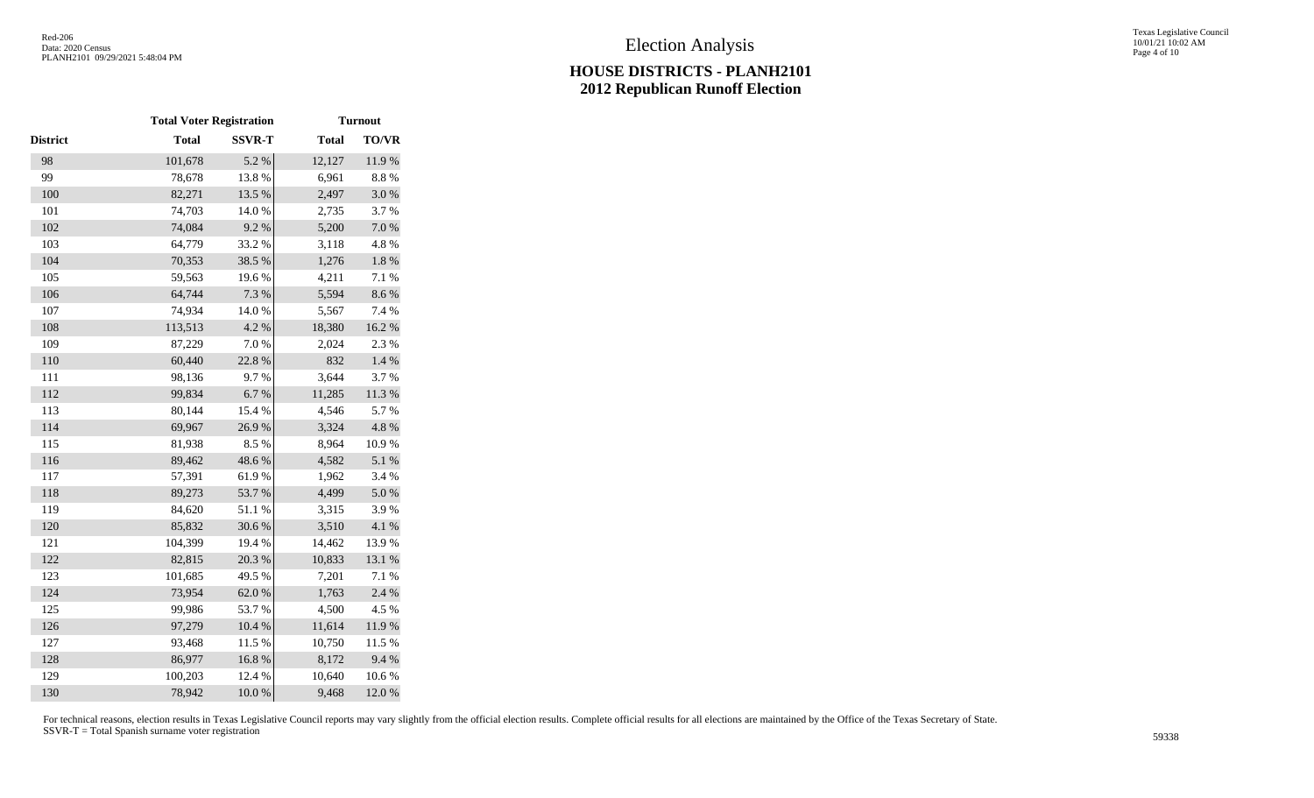|                 | <b>Total Voter Registration</b> |               |              | <b>Turnout</b> |
|-----------------|---------------------------------|---------------|--------------|----------------|
| <b>District</b> | <b>Total</b>                    | <b>SSVR-T</b> | <b>Total</b> | TO/VR          |
| 98              | 101,678                         | 5.2 %         | 12,127       | 11.9%          |
| 99              | 78,678                          | 13.8%         | 6,961        | 8.8 %          |
| 100             | 82,271                          | 13.5 %        | 2,497        | $3.0\ \%$      |
| 101             | 74,703                          | 14.0 %        | 2,735        | 3.7%           |
| 102             | 74,084                          | 9.2%          | 5,200        | $7.0\ \%$      |
| 103             | 64,779                          | 33.2 %        | 3,118        | 4.8%           |
| 104             | 70,353                          | 38.5 %        | 1,276        | $1.8~\%$       |
| 105             | 59,563                          | 19.6%         | 4,211        | 7.1 %          |
| 106             | 64,744                          | 7.3 %         | 5,594        | 8.6%           |
| 107             | 74,934                          | 14.0 %        | 5,567        | 7.4 %          |
| 108             | 113,513                         | 4.2 %         | 18,380       | $16.2~\%$      |
| 109             | 87,229                          | 7.0%          | 2,024        | 2.3 %          |
| 110             | 60,440                          | 22.8 %        | 832          | 1.4 %          |
| 111             | 98,136                          | 9.7%          | 3,644        | 3.7%           |
| 112             | 99,834                          | $6.7~\%$      | 11,285       | 11.3 %         |
| 113             | 80,144                          | 15.4 %        | 4,546        | 5.7%           |
| 114             | 69,967                          | 26.9%         | 3,324        | 4.8 %          |
| 115             | 81,938                          | 8.5%          | 8,964        | 10.9%          |
| 116             | 89,462                          | 48.6%         | 4,582        | 5.1 %          |
| 117             | 57,391                          | 61.9%         | 1,962        | 3.4 %          |
| 118             | 89,273                          | 53.7%         | 4,499        | 5.0%           |
| 119             | 84,620                          | 51.1%         | 3,315        | 3.9%           |
| 120             | 85,832                          | 30.6%         | 3,510        | 4.1 %          |
| 121             | 104,399                         | 19.4 %        | 14,462       | 13.9%          |
| 122             | 82,815                          | 20.3 %        | 10,833       | 13.1 %         |
| 123             | 101,685                         | 49.5 %        | 7,201        | 7.1 %          |
| 124             | 73,954                          | 62.0%         | 1,763        | 2.4 %          |
| 125             | 99,986                          | 53.7%         | 4,500        | 4.5 %          |
| 126             | 97,279                          | $10.4~\%$     | 11,614       | 11.9 %         |
| 127             | 93,468                          | 11.5 %        | 10,750       | 11.5 %         |
| 128             | 86,977                          | 16.8%         | 8,172        | 9.4%           |
| 129             | 100,203                         | 12.4 %        | 10,640       | 10.6 %         |
| 130             | 78,942                          | 10.0%         | 9,468        | 12.0%          |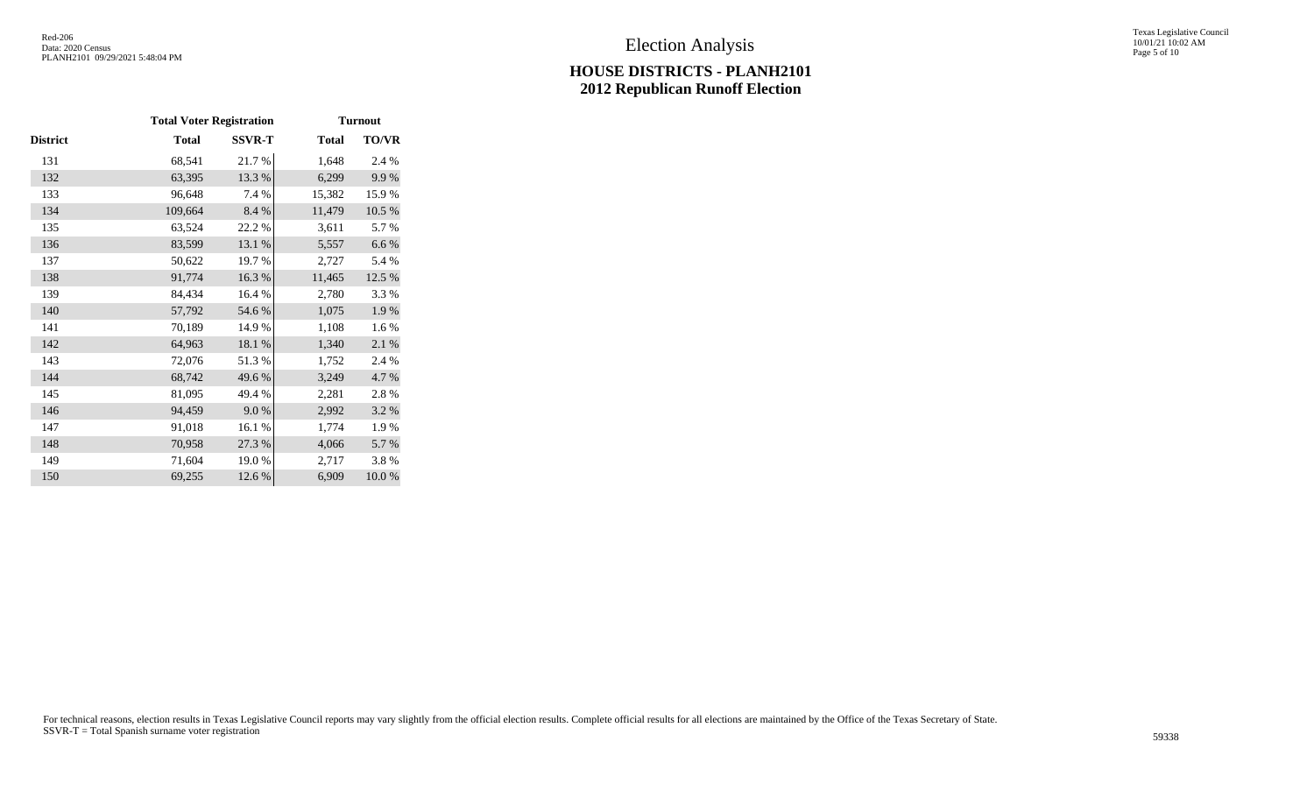|                 | <b>Total Voter Registration</b> |               |              | <b>Turnout</b> |
|-----------------|---------------------------------|---------------|--------------|----------------|
| <b>District</b> | <b>Total</b>                    | <b>SSVR-T</b> | <b>Total</b> | TO/VR          |
| 131             | 68,541                          | 21.7%         | 1,648        | 2.4 %          |
| 132             | 63,395                          | 13.3 %        | 6,299        | 9.9%           |
| 133             | 96,648                          | 7.4 %         | 15,382       | 15.9%          |
| 134             | 109,664                         | 8.4 %         | 11,479       | 10.5 %         |
| 135             | 63,524                          | 22.2 %        | 3,611        | 5.7%           |
| 136             | 83,599                          | 13.1 %        | 5,557        | 6.6 %          |
| 137             | 50,622                          | 19.7%         | 2,727        | 5.4 %          |
| 138             | 91,774                          | 16.3%         | 11,465       | 12.5 %         |
| 139             | 84,434                          | 16.4 %        | 2,780        | 3.3%           |
| 140             | 57,792                          | 54.6 %        | 1,075        | 1.9%           |
| 141             | 70,189                          | 14.9%         | 1,108        | 1.6%           |
| 142             | 64,963                          | 18.1 %        | 1,340        | 2.1 %          |
| 143             | 72,076                          | 51.3%         | 1,752        | 2.4 %          |
| 144             | 68,742                          | 49.6%         | 3,249        | 4.7%           |
| 145             | 81,095                          | 49.4 %        | 2,281        | 2.8%           |
| 146             | 94,459                          | 9.0%          | 2,992        | 3.2 %          |
| 147             | 91,018                          | 16.1%         | 1,774        | 1.9%           |
| 148             | 70,958                          | 27.3 %        | 4,066        | 5.7%           |
| 149             | 71,604                          | 19.0%         | 2,717        | 3.8%           |
| 150             | 69,255                          | 12.6 %        | 6,909        | 10.0%          |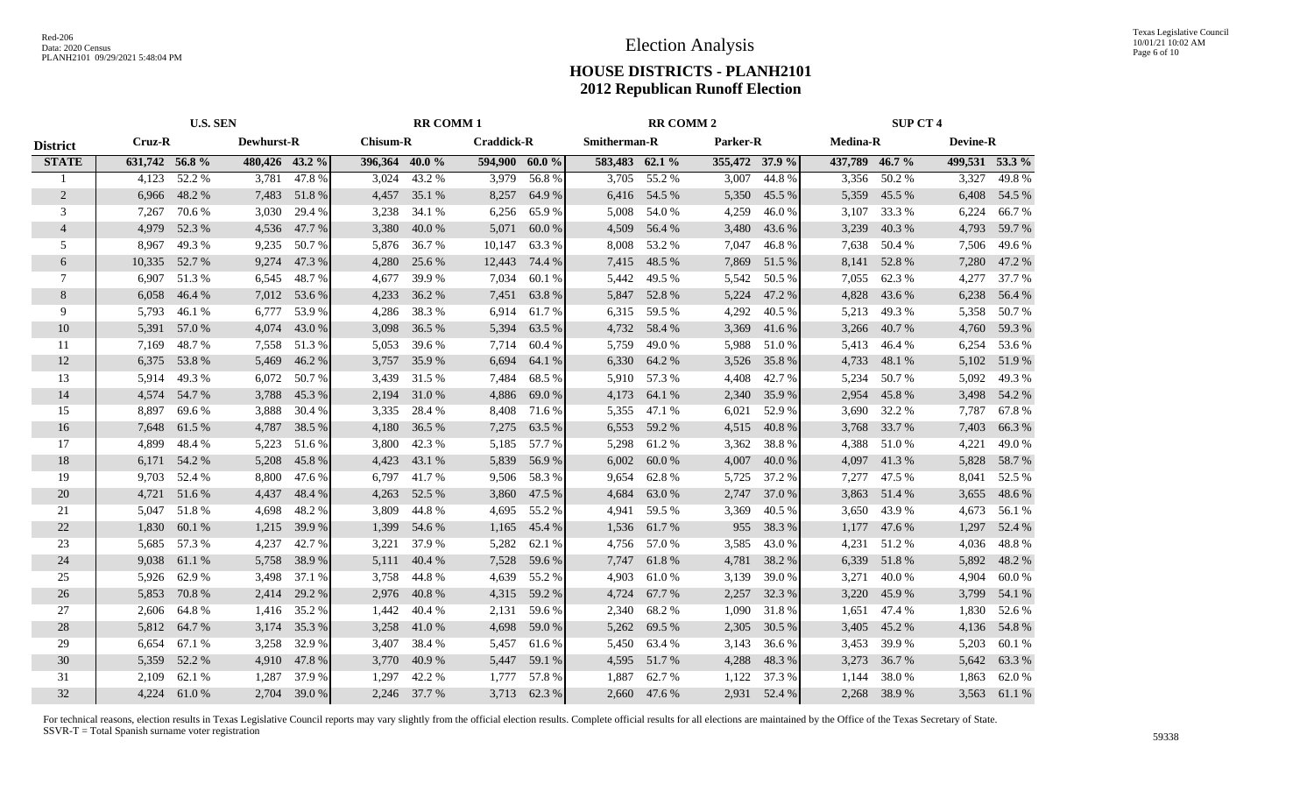|                 | <b>U.S. SEN</b> |        |                   |        |                 | <b>RR COMM1</b> |                   | <b>RR COMM 2</b> |                |              |                | <b>SUP CT 4</b> |                 |              |                 |              |
|-----------------|-----------------|--------|-------------------|--------|-----------------|-----------------|-------------------|------------------|----------------|--------------|----------------|-----------------|-----------------|--------------|-----------------|--------------|
| <b>District</b> | Cruz-R          |        | <b>Dewhurst-R</b> |        | <b>Chisum-R</b> |                 | <b>Craddick-R</b> |                  | Smitherman-R   |              | Parker-R       |                 | <b>Medina-R</b> |              | <b>Devine-R</b> |              |
| <b>STATE</b>    | 631,742 56.8%   |        | 480,426 43.2 %    |        | 396,364 40.0 %  |                 | 594,900 60.0 %    |                  | 583,483 62.1 % |              | 355,472 37.9 % |                 | 437,789 46.7 %  |              | 499,531 53.3 %  |              |
|                 | 4,123           | 52.2 % | 3,781             | 47.8%  | 3,024           | 43.2 %          | 3,979             | 56.8%            | 3,705          | 55.2 %       | 3,007          | 44.8%           | 3,356           | 50.2 %       | 3,327           | 49.8%        |
| 2               | 6,966           | 48.2%  | 7,483             | 51.8%  | 4,457           | 35.1 %          | 8,257             | 64.9%            | 6,416          | 54.5 %       | 5,350          | 45.5 %          | 5,359           | 45.5 %       | 6,408           | 54.5 %       |
| 3               | 7,267           | 70.6 % | 3,030             | 29.4 % | 3,238           | 34.1 %          | 6,256             | 65.9%            | 5,008          | 54.0%        | 4,259          | 46.0%           | 3,107           | 33.3 %       | 6,224           | 66.7%        |
| $\overline{4}$  | 4,979           | 52.3%  | 4,536             | 47.7 % | 3,380           | 40.0%           | 5,071             | 60.0%            | 4,509          | 56.4 %       | 3,480          | 43.6 %          | 3,239           | 40.3%        | 4,793           | 59.7%        |
| 5               | 8,967           | 49.3 % | 9,235             | 50.7 % | 5,876           | 36.7 %          | 10,147            | 63.3%            | 8,008          | 53.2 %       | 7,047          | 46.8%           | 7,638           | 50.4 %       | 7,506           | 49.6 %       |
| 6               | 10,335          | 52.7 % | 9,274             | 47.3%  | 4,280           | 25.6 %          | 12,443            | 74.4 %           | 7,415          | 48.5 %       | 7,869          | 51.5 %          | 8,141           | 52.8%        | 7,280           | 47.2 %       |
| 7               | 6,907           | 51.3%  | 6,545             | 48.7%  | 4,677           | 39.9%           | 7,034             | 60.1 %           | 5,442          | 49.5 %       | 5,542          | 50.5 %          | 7,055           | 62.3 %       | 4,277           | 37.7 %       |
| $\,8\,$         | 6,058           | 46.4 % | 7,012             | 53.6 % | 4,233           | 36.2 %          | 7,451             | 63.8%            | 5,847          | 52.8%        | 5,224          | 47.2 %          | 4,828           | 43.6 %       | 6,238           | 56.4 %       |
| 9               | 5,793           | 46.1%  | 6,777             | 53.9%  | 4,286           | 38.3 %          | 6,914             | 61.7%            | 6,315          | 59.5 %       | 4,292          | 40.5 %          | 5,213           | 49.3%        | 5,358           | 50.7 %       |
| 10              | 5,391           | 57.0%  | 4,074             | 43.0%  | 3,098           | 36.5 %          | 5,394             | 63.5 %           | 4,732          | 58.4 %       | 3,369          | 41.6 %          | 3,266           | 40.7 %       | 4,760           | 59.3 %       |
| 11              | 7,169           | 48.7%  | 7,558             | 51.3%  | 5,053           | 39.6 %          | 7,714             | 60.4 %           | 5,759          | 49.0 %       | 5,988          | 51.0%           | 5,413           | 46.4%        | 6,254           | 53.6 %       |
| 12              | 6,375           | 53.8%  | 5,469             | 46.2%  | 3,757           | 35.9%           | 6,694             | 64.1 %           | 6,330          | 64.2 %       | 3,526          | 35.8%           | 4,733           | 48.1 %       | 5,102           | 51.9%        |
| 13              | 5,914           | 49.3%  | 6,072             | 50.7 % | 3,439           | 31.5 %          | 7,484             | 68.5 %           | 5,910          | 57.3 %       | 4,408          | 42.7 %          | 5,234           | 50.7%        | 5,092           | 49.3%        |
| 14              | 4,574           | 54.7%  | 3,788             | 45.3 % | 2,194           | 31.0 %          | 4,886             | 69.0%            | 4,173          | 64.1 %       | 2,340          | 35.9 %          | 2,954           | 45.8%        | 3,498           | 54.2 %       |
| 15              | 8,897           | 69.6 % | 3,888             | 30.4 % | 3,335           | 28.4 %          | 8,408             | 71.6 %           | 5,355          | 47.1 %       | 6,021          | 52.9%           | 3,690           | 32.2 %       | 7,787           | 67.8%        |
| 16              | 7,648           | 61.5 % | 4,787             | 38.5 % | 4,180           | 36.5 %          | 7,275             | 63.5 %           | 6,553          | 59.2 %       | 4,515          | 40.8%           | 3,768           | 33.7 %       | 7,403           | 66.3%        |
| 17              | 4,899           | 48.4%  | 5,223             | 51.6%  | 3,800           | 42.3 %          | 5,185             | 57.7 %           | 5,298          | 61.2%        | 3,362          | 38.8%           | 4,388           | 51.0%        | 4,221           | 49.0%        |
| 18              | 6,171           | 54.2 % | 5,208             | 45.8%  | 4,423           | 43.1 %          | 5,839             | 56.9%            | 6,002          | 60.0%        | 4,007          | 40.0%           | 4,097           | 41.3%        | 5,828           | 58.7 %       |
| 19              | 9,703           | 52.4 % | 8,800             | 47.6 % | 6,797           | 41.7 %          | 9,506             | 58.3 %           | 9,654          | 62.8%        | 5,725          | 37.2 %          | 7,277           | 47.5 %       | 8,041           | 52.5 %       |
| 20              | 4,721           | 51.6%  | 4,437             | 48.4 % | 4,263           | 52.5 %          | 3,860             | 47.5 %           | 4,684          | 63.0 %       | 2,747          | 37.0 %          | 3,863           | 51.4 %       | 3,655           | 48.6 %       |
| 21              | 5,047           | 51.8%  | 4,698             | 48.2%  | 3,809           | 44.8%           | 4,695             | 55.2 %           | 4,941          | 59.5 %       | 3,369          | 40.5 %          | 3,650           | 43.9%        | 4,673           | 56.1 %       |
| 22              | 1,830           | 60.1 % | 1,215             | 39.9%  | 1,399           | 54.6 %          | 1,165             | 45.4 %           | 1,536          | 61.7 %       | 955            | 38.3 %          | 1,177           | 47.6 %       | 1,297           | 52.4 %       |
| 23              | 5,685           | 57.3 % | 4,237             | 42.7 % | 3,221           | 37.9 %          | 5,282             | 62.1 %           | 4,756          | 57.0 %       | 3,585          | 43.0 %          | 4,231           | 51.2%        | 4,036           | 48.8%        |
| 24              | 9,038           | 61.1%  | 5,758             | 38.9%  | 5,111           | 40.4 %          | 7,528             | 59.6%            | 7,747          | 61.8%        | 4,781          | 38.2 %          | 6,339           | 51.8%        | 5,892           | 48.2%        |
| 25              | 5,926           | 62.9%  | 3,498             | 37.1 % | 3,758           | 44.8%           | 4,639             | 55.2 %           | 4,903          | 61.0%        | 3,139          | 39.0%           | 3,271           | 40.0%        | 4,904           | 60.0%        |
| 26              | 5,853           | 70.8%  | 2,414             | 29.2 % | 2,976           | 40.8%           | 4,315             | 59.2 %           | 4,724          | 67.7 %       | 2,257          | 32.3 %          | 3,220           | 45.9%        | 3,799           | 54.1 %       |
| 27              | 2,606           | 64.8%  | 1,416             | 35.2 % | 1,442           | 40.4 %          | 2,131             | 59.6 %           | 2,340          | 68.2%        | 1,090          | 31.8%           | 1,651           | 47.4 %       | 1,830           | 52.6 %       |
| 28              | 5,812           | 64.7 % | 3,174             | 35.3 % | 3,258           | 41.0 %          | 4,698             | 59.0%            | 5,262          | 69.5 %       | 2,305          | 30.5 %          | 3,405           | 45.2%        | 4,136           | 54.8%        |
| 29              | 6,654           | 67.1 % | 3,258             | 32.9 % | 3,407           | 38.4 %          | 5,457             | 61.6 %           | 5,450          | 63.4 %       | 3,143          | 36.6 %          | 3,453           | 39.9%        | 5,203           | 60.1 %       |
| 30              | 5,359           | 52.2 % | 4,910             | 47.8%  | 3,770           | 40.9%           | 5,447             | 59.1 %           | 4,595          | 51.7%        | 4,288          | 48.3%           | 3,273           | 36.7%        | 5,642           | 63.3%        |
| 31              | 2,109           | 62.1 % | 1,287             | 37.9%  | 1,297           | 42.2 %          | 1,777             | 57.8%            | 1,887          | 62.7%        | 1,122          | 37.3 %          | 1,144           | 38.0%        | 1,863           | 62.0%        |
| 32              | 4.224           | 61.0%  | 2,704             | 39.0 % |                 | 2,246 37.7 %    | 3,713             | 62.3 %           |                | 2,660 47.6 % | 2,931          | 52.4 %          |                 | 2,268 38.9 % |                 | 3,563 61.1 % |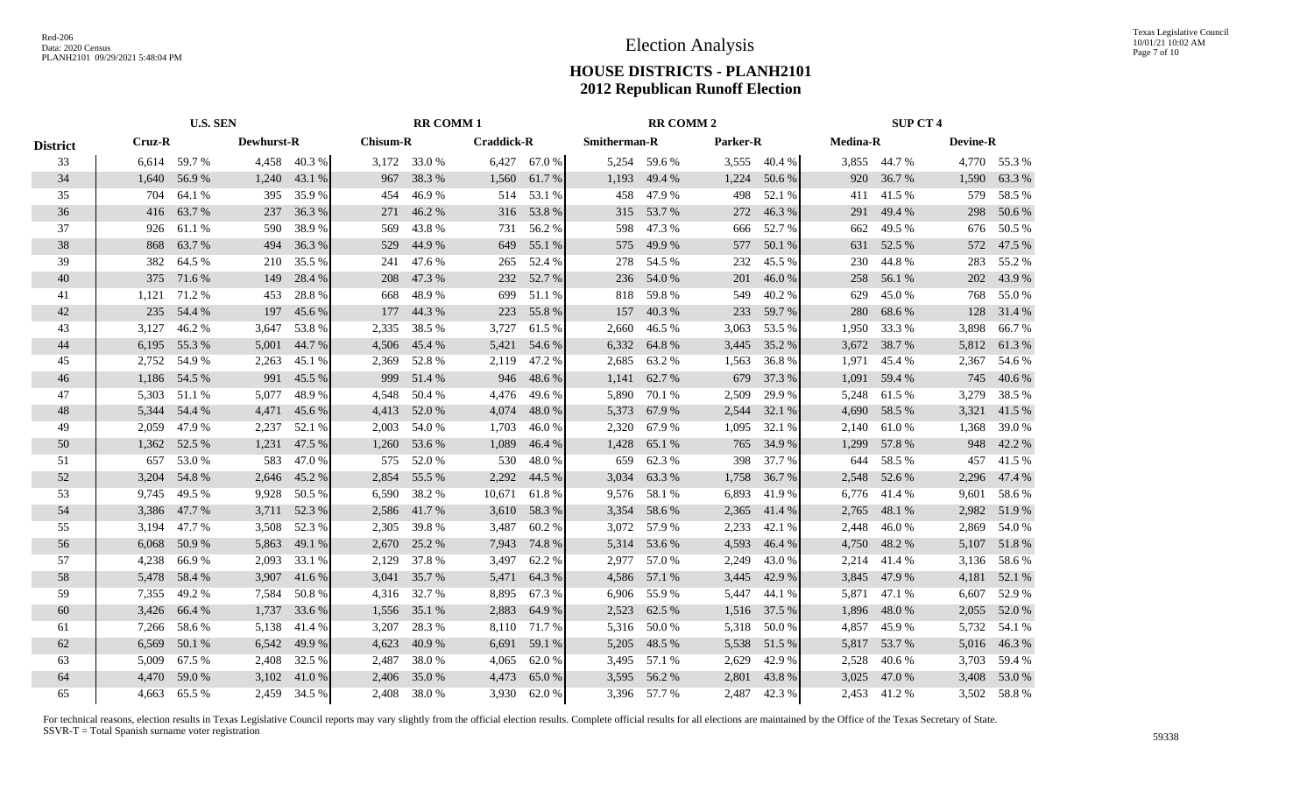|                 | <b>U.S. SEN</b> |              |                   |              |                 | <b>RR COMM1</b> |                   |              | <b>RR COMM 2</b>    |              |                 |              | <b>SUP CT 4</b> |              |                 |              |
|-----------------|-----------------|--------------|-------------------|--------------|-----------------|-----------------|-------------------|--------------|---------------------|--------------|-----------------|--------------|-----------------|--------------|-----------------|--------------|
| <b>District</b> | Cruz-R          |              | <b>Dewhurst-R</b> |              | <b>Chisum-R</b> |                 | <b>Craddick-R</b> |              | <b>Smitherman-R</b> |              | <b>Parker-R</b> |              | <b>Medina-R</b> |              | <b>Devine-R</b> |              |
| 33              |                 | 6,614 59.7 % |                   | 4,458 40.3 % |                 | 3,172 33.0 %    |                   | 6,427 67.0 % |                     | 5,254 59.6 % |                 | 3,555 40.4 % |                 | 3,855 44.7 % |                 | 4,770 55.3 % |
| 34              | 1,640           | 56.9%        | 1,240             | 43.1 %       |                 | 967 38.3 %      | 1,560             | 61.7%        | 1,193               | 49.4 %       | 1,224           | 50.6 %       |                 | 920 36.7 %   | 1,590           | 63.3 %       |
| 35              | 704             | 64.1 %       | 395               | 35.9%        | 454             | 46.9%           | 514               | 53.1 %       | 458                 | 47.9%        | 498             | 52.1 %       | 411             | 41.5 %       | 579             | 58.5 %       |
| 36              | 416             | 63.7 %       | 237               | 36.3%        | 271             | 46.2%           | 316               | 53.8%        | 315                 | 53.7%        | 272             | 46.3%        | 291             | 49.4 %       | 298             | 50.6%        |
| 37              | 926             | 61.1 %       | 590               | 38.9%        | 569             | 43.8%           | 731               | 56.2%        | 598                 | 47.3%        | 666             | 52.7 %       | 662             | 49.5 %       | 676             | 50.5 %       |
| 38              | 868             | 63.7 %       | 494               | 36.3 %       | 529             | 44.9%           | 649               | 55.1 %       | 575                 | 49.9%        | 577             | 50.1 %       | 631             | 52.5 %       | 572             | 47.5 %       |
| 39              | 382             | 64.5 %       | 210               | 35.5 %       | 241             | 47.6 %          | 265               | 52.4 %       | 278                 | 54.5 %       | 232             | 45.5 %       | 230             | 44.8%        | 283             | 55.2 %       |
| 40              | 375             | 71.6 %       | 149               | 28.4 %       | 208             | 47.3 %          | 232               | 52.7 %       | 236                 | 54.0 %       | 201             | 46.0%        | 258             | 56.1 %       | 202             | 43.9%        |
| 41              | 1,121           | 71.2 %       | 453               | 28.8%        | 668             | 48.9%           | 699               | 51.1 %       | 818                 | 59.8%        | 549             | 40.2%        | 629             | 45.0%        | 768             | 55.0%        |
| 42              | 235             | 54.4 %       | 197               | 45.6 %       |                 | 177 44.3 %      | 223               | 55.8%        | 157                 | 40.3%        | 233             | 59.7 %       | 280             | 68.6%        | 128             | 31.4 %       |
| 43              | 3,127           | 46.2%        | 3,647             | 53.8%        | 2,335           | 38.5 %          | 3,727             | 61.5 %       | 2,660               | 46.5 %       | 3,063           | 53.5 %       | 1,950           | 33.3 %       | 3,898           | 66.7%        |
| 44              | 6,195           | 55.3%        | 5,001             | 44.7 %       | 4,506           | 45.4 %          | 5,421             | 54.6 %       | 6,332               | 64.8%        | 3,445           | 35.2 %       |                 | 3,672 38.7 % | 5,812           | 61.3%        |
| 45              | 2,752           | 54.9 %       | 2,263             | 45.1 %       | 2,369           | 52.8%           | 2,119             | 47.2 %       | 2,685               | 63.2%        | 1,563           | 36.8%        | 1,971           | 45.4 %       | 2,367           | 54.6 %       |
| 46              |                 | 1,186 54.5 % | 991               | 45.5 %       |                 | 999 51.4 %      | 946               | 48.6%        | 1,141               | 62.7 %       | 679             | 37.3 %       |                 | 1,091 59.4 % | 745             | 40.6 %       |
| 47              | 5,303           | 51.1 %       | 5,077             | 48.9%        |                 | 4,548 50.4 %    | 4,476             | 49.6%        | 5,890               | 70.1 %       | 2,509           | 29.9%        | 5,248           | 61.5 %       | 3,279           | 38.5 %       |
| 48              | 5,344           | 54.4 %       | 4,471             | 45.6 %       |                 | 4,413 52.0 %    | 4,074             | 48.0%        | 5,373               | 67.9%        | 2,544           | 32.1 %       |                 | 4,690 58.5 % | 3,321           | 41.5 %       |
| 49              | 2,059           | 47.9 %       | 2,237             | 52.1 %       | 2,003           | 54.0 %          | 1,703             | 46.0%        | 2,320               | 67.9%        | 1,095           | 32.1 %       | 2,140           | 61.0%        | 1,368           | 39.0%        |
| 50              | 1,362           | 52.5 %       | 1,231             | 47.5 %       |                 | 1,260 53.6 %    | 1,089             | 46.4%        | 1,428               | 65.1 %       | 765             | 34.9 %       | 1,299           | 57.8%        | 948             | 42.2 %       |
| 51              | 657             | 53.0 %       | 583               | 47.0%        |                 | 575 52.0 %      | 530               | 48.0%        | 659                 | 62.3%        | 398             | 37.7 %       | 644             | 58.5 %       | 457             | 41.5 %       |
| 52              | 3,204           | 54.8%        | 2,646             | 45.2 %       |                 | 2,854 55.5 %    | 2,292             | 44.5 %       | 3,034               | 63.3%        | 1,758           | 36.7 %       | 2,548           | 52.6 %       | 2,296           | 47.4 %       |
| 53              | 9,745           | 49.5 %       | 9,928             | 50.5 %       | 6,590           | 38.2 %          | 10,671            | 61.8%        |                     | 9,576 58.1 % | 6,893           | 41.9%        | 6,776           | 41.4 %       | 9,601           | 58.6%        |
| 54              | 3,386           | 47.7 %       | 3,711             | 52.3 %       | 2,586           | 41.7 %          | 3,610             | 58.3%        |                     | 3,354 58.6 % | 2,365           | 41.4 %       | 2,765           | 48.1 %       | 2,982           | 51.9%        |
| 55              | 3,194           | 47.7 %       | 3,508             | 52.3 %       | 2,305           | 39.8%           | 3,487             | 60.2%        |                     | 3,072 57.9 % | 2,233           | 42.1 %       | 2,448           | 46.0%        |                 | 2,869 54.0 % |
| 56              | 6,068           | 50.9%        | 5,863             | 49.1 %       | 2,670           | 25.2 %          | 7,943             | 74.8%        |                     | 5,314 53.6 % | 4,593           | 46.4 %       | 4,750           | 48.2 %       |                 | 5,107 51.8 % |
| 57              | 4,238           | 66.9%        | 2,093             | 33.1 %       | 2,129           | 37.8%           | 3,497             | 62.2 %       |                     | 2.977 57.0 % | 2,249           | 43.0 %       | 2,214           | 41.4 %       | 3,136           | 58.6 %       |
| 58              | 5,478           | 58.4 %       | 3,907             | 41.6%        | 3,041           | 35.7 %          | 5,471             | 64.3%        | 4,586               | 57.1 %       | 3,445           | 42.9%        | 3,845           | 47.9%        | 4,181           | 52.1 %       |
| 59              | 7,355           | 49.2 %       | 7,584             | 50.8%        | 4,316           | 32.7 %          | 8,895             | 67.3%        | 6,906               | 55.9%        | 5,447           | 44.1 %       | 5,871           | 47.1 %       | 6,607           | 52.9 %       |
| 60              | 3,426           | 66.4 %       | 1,737             | 33.6 %       | 1,556           | 35.1 %          | 2,883             | 64.9 %       | 2,523               | 62.5 %       | 1,516           | 37.5 %       | 1,896           | 48.0%        | 2,055           | 52.0 %       |
| 61              | 7,266           | 58.6%        | 5,138             | 41.4 %       | 3,207           | 28.3 %          | 8,110             | 71.7 %       |                     | 5,316 50.0 % | 5,318           | 50.0 %       | 4,857           | 45.9%        |                 | 5,732 54.1 % |
| 62              | 6,569           | 50.1 %       | 6,542             | 49.9%        | 4,623           | 40.9%           | 6,691             | 59.1 %       | 5,205               | 48.5 %       | 5,538           | 51.5 %       | 5,817           | 53.7 %       | 5,016           | 46.3%        |
| 63              | 5,009           | 67.5 %       | 2,408             | 32.5 %       | 2,487           | 38.0%           | 4,065             | 62.0%        | 3,495               | 57.1 %       | 2,629           | 42.9%        | 2,528           | 40.6%        | 3,703           | 59.4 %       |
| 64              | 4,470           | 59.0%        | 3,102             | 41.0 %       | 2,406           | 35.0%           | 4,473             | 65.0%        | 3,595               | 56.2%        | 2,801           | 43.8%        | 3,025           | 47.0 %       | 3,408           | 53.0%        |
| 65              |                 | 4,663 65.5 % |                   | 2,459 34.5 % |                 | 2,408 38.0 %    | 3,930             | 62.0%        |                     | 3,396 57.7 % | 2,487           | 42.3 %       |                 | 2,453 41.2 % |                 | 3,502 58.8 % |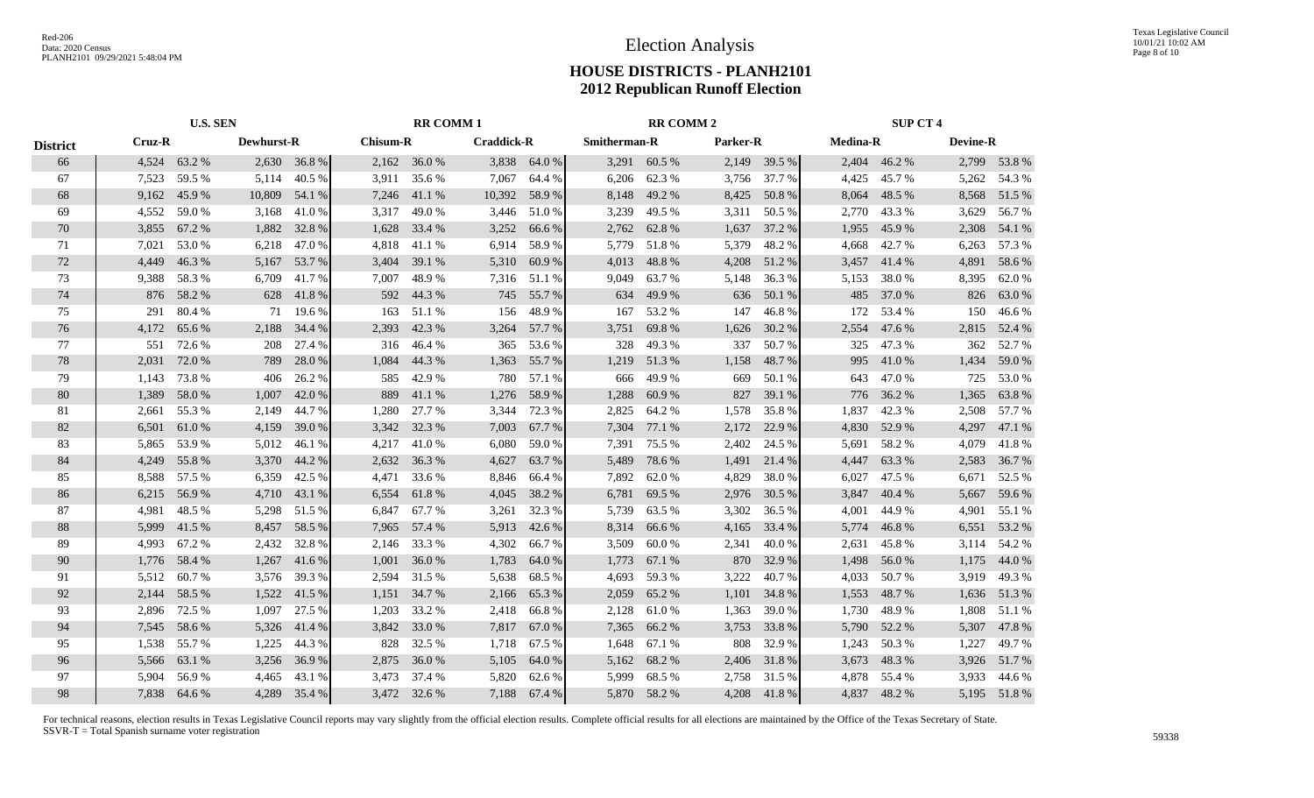|                 | <b>U.S. SEN</b> |              |                   |              | <b>RR COMM1</b> |              |                   | <b>RR COMM 2</b> |                     |              |          | <b>SUP CT 4</b> |                 |              |                 |              |
|-----------------|-----------------|--------------|-------------------|--------------|-----------------|--------------|-------------------|------------------|---------------------|--------------|----------|-----------------|-----------------|--------------|-----------------|--------------|
| <b>District</b> | Cruz-R          |              | <b>Dewhurst-R</b> |              | <b>Chisum-R</b> |              | <b>Craddick-R</b> |                  | <b>Smitherman-R</b> |              | Parker-R |                 | <b>Medina-R</b> |              | <b>Devine-R</b> |              |
| 66              |                 | 4,524 63.2 % |                   | 2,630 36.8 % |                 | 2,162 36.0 % |                   | 3,838 64.0 %     | 3,291               | 60.5 %       |          | 2,149 39.5 %    |                 | 2,404 46.2 % |                 | 2,799 53.8 % |
| 67              | 7,523           | 59.5 %       | 5,114             | 40.5 %       |                 | 3,911 35.6 % | 7,067             | 64.4 %           | 6,206               | 62.3 %       |          | 3,756 37.7 %    | 4,425           | 45.7 %       | 5,262           | 54.3 %       |
| 68              | 9,162           | 45.9%        | 10,809            | 54.1 %       |                 | 7,246 41.1 % | 10,392            | 58.9%            | 8,148               | 49.2%        | 8,425    | 50.8%           | 8,064           | 48.5 %       | 8,568           | 51.5 %       |
| 69              | 4,552           | 59.0%        | 3,168             | 41.0%        | 3,317           | 49.0%        | 3,446             | 51.0%            | 3,239               | 49.5 %       | 3,311    | 50.5 %          | 2,770           | 43.3 %       | 3,629           | 56.7 %       |
| 70              | 3,855           | 67.2 %       | 1,882             | 32.8%        | 1,628           | 33.4 %       | 3,252             | 66.6 %           | 2,762               | 62.8%        | 1,637    | 37.2 %          | 1,955           | 45.9%        | 2,308           | 54.1 %       |
| 71              | 7,021           | 53.0%        | 6,218             | 47.0%        | 4,818           | 41.1 %       | 6,914             | 58.9%            | 5,779               | 51.8%        | 5,379    | 48.2%           | 4,668           | 42.7 %       | 6,263           | 57.3 %       |
| 72              | 4,449           | 46.3%        | 5,167             | 53.7 %       | 3,404           | 39.1 %       | 5,310             | 60.9%            | 4,013               | 48.8%        | 4,208    | 51.2 %          | 3,457           | 41.4 %       | 4,891           | 58.6%        |
| 73              | 9,388           | 58.3%        | 6.709             | 41.7%        | 7.007           | 48.9%        | 7,316             | 51.1 %           | 9.049               | 63.7 %       | 5,148    | 36.3%           | 5,153           | 38.0%        | 8,395           | 62.0%        |
| 74              | 876             | 58.2 %       | 628               | 41.8%        |                 | 592 44.3 %   | 745               | 55.7 %           | 634                 | 49.9 %       | 636      | 50.1 %          | 485             | 37.0 %       | 826             | 63.0 %       |
| 75              | 291             | 80.4%        | 71                | 19.6 %       | 163             | 51.1 %       | 156               | 48.9%            | 167                 | 53.2 %       | 147      | 46.8%           | 172             | 53.4 %       | 150             | 46.6%        |
| 76              | 4,172           | 65.6 %       | 2,188             | 34.4 %       | 2,393           | 42.3 %       | 3,264             | 57.7 %           | 3,751               | 69.8%        | 1,626    | 30.2 %          | 2,554           | 47.6 %       | 2,815           | 52.4 %       |
| 77              | 551             | 72.6 %       | 208               | 27.4 %       |                 | 316 46.4 %   | 365               | 53.6 %           | 328                 | 49.3%        | 337      | 50.7%           | 325             | 47.3 %       | 362             | 52.7 %       |
| 78              | 2,031           | 72.0%        | 789               | 28.0%        | 1,084           | 44.3 %       | 1,363             | 55.7%            | 1,219               | 51.3%        | 1,158    | 48.7%           | 995             | 41.0 %       | 1,434           | 59.0%        |
| 79              | 1,143           | 73.8%        | 406               | 26.2%        | 585             | 42.9%        | 780               | 57.1 %           | 666                 | 49.9%        | 669      | 50.1 %          | 643             | 47.0%        | 725             | 53.0%        |
| 80              | 1,389           | 58.0%        | 1,007             | 42.0%        | 889             | 41.1 %       | 1,276             | 58.9%            | 1,288               | 60.9%        | 827      | 39.1 %          | 776             | 36.2 %       | 1,365           | 63.8%        |
| 81              | 2,661           | 55.3 %       | 2,149             | 44.7 %       | 1,280           | 27.7 %       | 3,344             | 72.3 %           | 2,825               | 64.2 %       | 1,578    | 35.8%           | 1,837           | 42.3 %       | 2,508           | 57.7 %       |
| 82              | 6,501           | 61.0 %       | 4,159             | 39.0 %       |                 | 3,342 32.3 % | 7,003             | 67.7 %           | 7,304               | 77.1 %       | 2,172    | 22.9 %          | 4,830           | 52.9 %       | 4,297           | 47.1 %       |
| 83              | 5,865           | 53.9%        | 5,012             | 46.1%        | 4,217           | 41.0%        | 6,080             | 59.0%            | 7,391               | 75.5 %       | 2,402    | 24.5 %          | 5,691           | 58.2%        | 4,079           | 41.8%        |
| 84              | 4,249           | 55.8%        | 3,370             | 44.2 %       |                 | 2,632 36.3 % | 4,627             | 63.7 %           | 5,489               | 78.6%        | 1,491    | 21.4 %          | 4,447           | 63.3 %       | 2,583           | 36.7 %       |
| 85              | 8,588           | 57.5 %       | 6,359             | 42.5 %       | 4,471           | 33.6 %       | 8,846             | 66.4 %           | 7,892               | 62.0 %       | 4,829    | 38.0%           | 6,027           | 47.5 %       | 6,671           | 52.5 %       |
| 86              | 6,215           | 56.9%        | 4,710             | 43.1 %       | 6,554           | 61.8%        | 4,045             | 38.2 %           | 6,781               | 69.5 %       | 2,976    | 30.5 %          | 3,847           | 40.4 %       | 5,667           | 59.6 %       |
| 87              | 4,981           | 48.5 %       | 5,298             | 51.5 %       | 6,847           | 67.7 %       | 3,261             | 32.3 %           | 5,739               | 63.5 %       | 3,302    | 36.5 %          | 4,001           | 44.9%        | 4,901           | 55.1 %       |
| 88              | 5,999           | 41.5%        | 8,457             | 58.5 %       | 7,965           | 57.4 %       | 5,913             | 42.6 %           | 8,314               | 66.6%        | 4,165    | 33.4 %          | 5,774           | 46.8%        | 6,551           | 53.2 %       |
| 89              | 4,993           | 67.2%        | 2,432             | 32.8%        | 2,146           | 33.3 %       | 4,302             | 66.7%            | 3,509               | 60.0%        | 2,341    | 40.0%           | 2,631           | 45.8%        | 3,114           | 54.2 %       |
| 90              | 1,776           | 58.4 %       | 1,267             | 41.6 %       | 1,001           | 36.0%        | 1,783             | 64.0%            | 1,773               | 67.1 %       | 870      | 32.9 %          | 1,498           | 56.0%        | 1,175           | 44.0 %       |
| 91              | 5,512           | 60.7%        | 3,576             | 39.3 %       | 2,594           | 31.5 %       | 5,638             | 68.5 %           | 4,693               | 59.3%        | 3,222    | 40.7%           | 4,033           | 50.7 %       | 3,919           | 49.3 %       |
| 92              | 2,144           | 58.5 %       | 1,522             | 41.5 %       | 1,151           | 34.7 %       | 2,166             | 65.3%            | 2,059               | 65.2%        | 1,101    | 34.8%           | 1,553           | 48.7%        | 1,636           | 51.3%        |
| 93              | 2,896           | 72.5 %       | 1,097             | 27.5 %       | 1,203           | 33.2 %       | 2,418             | 66.8%            | 2,128               | 61.0%        | 1,363    | 39.0%           | 1,730           | 48.9%        | 1,808           | 51.1 %       |
| 94              | 7,545           | 58.6%        | 5,326             | 41.4 %       | 3,842           | 33.0 %       | 7,817             | 67.0 %           | 7,365               | 66.2%        | 3,753    | 33.8%           | 5,790           | 52.2 %       | 5,307           | 47.8%        |
| 95              | 1,538           | 55.7 %       | 1,225             | 44.3 %       | 828             | 32.5 %       | 1,718             | 67.5 %           | 1,648               | 67.1 %       | 808      | 32.9 %          | 1,243           | 50.3 %       | 1,227           | 49.7 %       |
| 96              | 5,566           | 63.1 %       | 3,256             | 36.9%        | 2,875           | 36.0%        | 5,105             | 64.0%            | 5,162               | 68.2 %       | 2,406    | 31.8%           | 3,673           | 48.3%        | 3,926           | 51.7 %       |
| 97              | 5,904           | 56.9%        | 4,465             | 43.1 %       | 3,473           | 37.4 %       | 5,820             | 62.6 %           | 5,999               | 68.5 %       | 2,758    | 31.5 %          | 4,878           | 55.4 %       | 3,933           | 44.6 %       |
| 98              |                 | 7.838 64.6 % | 4,289             | 35.4 %       |                 | 3,472 32.6 % | 7.188             | 67.4 %           |                     | 5,870 58.2 % | 4,208    | 41.8%           |                 | 4,837 48.2 % |                 | 5,195 51.8%  |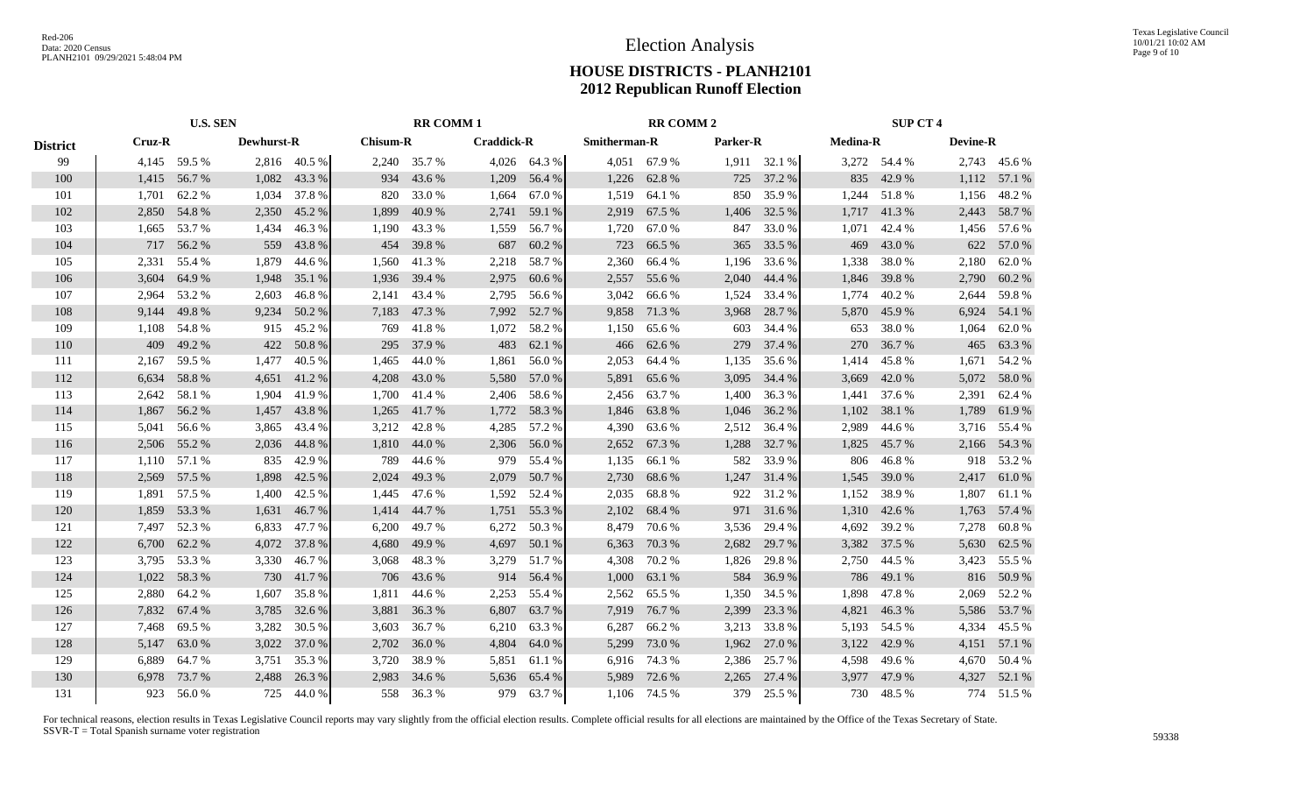|                 | <b>U.S. SEN</b> |              |                   |              |                 | <b>RR COMM1</b> |                   |              | <b>RR COMM 2</b> |              |          |              | <b>SUP CT 4</b> |              |                 |              |
|-----------------|-----------------|--------------|-------------------|--------------|-----------------|-----------------|-------------------|--------------|------------------|--------------|----------|--------------|-----------------|--------------|-----------------|--------------|
| <b>District</b> | Cruz-R          |              | <b>Dewhurst-R</b> |              | <b>Chisum-R</b> |                 | <b>Craddick-R</b> |              | Smitherman-R     |              | Parker-R |              | <b>Medina-R</b> |              | <b>Devine-R</b> |              |
| 99              |                 | 4,145 59.5 % |                   | 2,816 40.5 % |                 | 2,240 35.7 %    |                   | 4,026 64.3 % |                  | 4,051 67.9 % |          | 1,911 32.1 % |                 | 3,272 54.4 % |                 | 2,743 45.6 % |
| 100             | 1,415           | 56.7 %       | 1,082             | 43.3 %       | 934             | 43.6 %          | 1,209             | 56.4 %       | 1,226            | 62.8%        |          | 725 37.2 %   | 835             | 42.9 %       |                 | 1,112 57.1 % |
| 101             | 1,701           | 62.2 %       |                   | 1,034 37.8 % | 820             | 33.0 %          | 1,664             | 67.0 %       | 1,519            | 64.1 %       |          | 850 35.9%    | 1,244           | 51.8%        | 1,156           | 48.2%        |
| 102             | 2,850           | 54.8%        | 2,350             | 45.2 %       | 1,899           | 40.9%           | 2,741             | 59.1 %       | 2,919            | 67.5 %       | 1,406    | 32.5 %       | 1,717           | 41.3%        | 2,443           | 58.7 %       |
| 103             | 1,665           | 53.7 %       | 1,434             | 46.3%        | 1,190           | 43.3 %          | 1,559             | 56.7%        | 1,720            | 67.0%        | 847      | 33.0%        | 1,071           | 42.4 %       | 1,456           | 57.6 %       |
| 104             | 717             | 56.2%        | 559               | 43.8%        | 454             | 39.8%           | 687               | 60.2%        | 723              | 66.5 %       | 365      | 33.5 %       | 469             | 43.0 %       | 622             | 57.0%        |
| 105             | 2,331           | 55.4 %       | 1.879             | 44.6 %       | 1,560           | 41.3%           | 2,218             | 58.7%        | 2,360            | 66.4%        | 1,196    | 33.6 %       | 1,338           | 38.0%        | 2,180           | 62.0%        |
| 106             | 3,604           | 64.9%        | 1,948             | 35.1 %       | 1,936           | 39.4 %          | 2,975             | 60.6%        | 2,557            | 55.6%        | 2,040    | 44.4 %       | 1,846           | 39.8%        | 2,790           | 60.2%        |
| 107             | 2,964           | 53.2 %       | 2,603             | 46.8%        | 2,141           | 43.4 %          | 2,795             | 56.6 %       | 3,042            | 66.6%        | 1,524    | 33.4 %       | 1,774           | 40.2%        | 2,644           | 59.8%        |
| 108             | 9,144           | 49.8%        | 9,234             | 50.2 %       | 7,183           | 47.3 %          | 7,992             | 52.7 %       | 9,858            | 71.3%        | 3,968    | 28.7 %       | 5,870           | 45.9 %       | 6,924           | 54.1 %       |
| 109             | 1,108           | 54.8%        | 915               | 45.2 %       |                 | 769 41.8 %      | 1,072             | 58.2%        | 1,150            | 65.6 %       | 603      | 34.4 %       | 653             | 38.0%        | 1,064           | 62.0%        |
| 110             | 409             | 49.2 %       | 422               | 50.8%        | 295             | 37.9 %          | 483               | 62.1 %       | 466              | 62.6 %       | 279      | 37.4 %       | 270             | 36.7%        | 465             | 63.3%        |
| 111             | 2,167           | 59.5 %       | 1,477             | 40.5 %       | 1,465           | 44.0%           | 1,861             | 56.0%        | 2,053            | 64.4 %       | 1,135    | 35.6 %       | 1,414           | 45.8%        | 1,671           | 54.2 %       |
| 112             | 6,634           | 58.8%        | 4,651             | 41.2%        | 4,208           | 43.0 %          | 5,580             | 57.0 %       | 5,891            | 65.6%        | 3,095    | 34.4 %       | 3,669           | 42.0 %       | 5,072           | 58.0%        |
| 113             | 2,642           | 58.1 %       | 1,904             | 41.9%        |                 | 1,700 41.4 %    | 2,406             | 58.6%        | 2,456            | 63.7 %       | 1,400    | 36.3 %       | 1,441           | 37.6 %       | 2,391           | 62.4 %       |
| 114             | 1,867           | 56.2 %       | 1,457             | 43.8%        | 1,265           | 41.7 %          | 1,772             | 58.3%        | 1,846            | 63.8%        | 1,046    | 36.2 %       | 1,102           | 38.1 %       | 1,789           | 61.9%        |
| 115             | 5,041           | 56.6%        | 3,865             | 43.4 %       | 3,212           | 42.8%           | 4,285             | 57.2 %       | 4,390            | 63.6 %       | 2,512    | 36.4 %       | 2,989           | 44.6 %       | 3,716           | 55.4 %       |
| 116             | 2,506           | 55.2 %       | 2,036             | 44.8%        | 1,810           | 44.0%           | 2,306             | 56.0%        | 2,652            | 67.3 %       | 1,288    | 32.7 %       | 1,825           | 45.7 %       | 2,166           | 54.3 %       |
| 117             | 1,110           | 57.1 %       | 835               | 42.9 %       |                 | 789 44.6 %      | 979               | 55.4 %       | 1,135            | 66.1 %       | 582      | 33.9 %       | 806             | 46.8%        | 918             | 53.2 %       |
| 118             | 2,569           | 57.5 %       | 1,898             | 42.5 %       | 2,024           | 49.3 %          | 2,079             | 50.7 %       | 2,730            | 68.6%        | 1,247    | 31.4 %       | 1,545           | 39.0 %       | 2,417           | 61.0%        |
| 119             | 1,891           | 57.5 %       | 1,400             | 42.5 %       | 1,445           | 47.6 %          | 1,592             | 52.4 %       | 2,035            | 68.8%        | 922      | 31.2 %       | 1,152           | 38.9%        | 1,807           | 61.1 %       |
| 120             | 1,859           | 53.3 %       | 1,631             | 46.7%        | 1,414           | 44.7%           | 1,751             | 55.3 %       | 2,102            | 68.4 %       |          | 971 31.6 %   | 1,310           | 42.6 %       | 1,763           | 57.4 %       |
| 121             | 7,497           | 52.3 %       | 6,833             | 47.7 %       | 6,200           | 49.7 %          | 6,272             | 50.3%        | 8,479            | 70.6 %       | 3,536    | 29.4 %       | 4,692           | 39.2 %       | 7,278           | 60.8%        |
| 122             | 6,700           | 62.2 %       | 4,072             | 37.8 %       | 4,680           | 49.9 %          | 4,697             | 50.1 %       | 6,363            | 70.3 %       | 2,682    | 29.7 %       | 3,382           | 37.5 %       | 5,630           | 62.5 %       |
| 123             | 3,795           | 53.3 %       | 3,330             | 46.7%        | 3,068           | 48.3%           | 3,279             | 51.7%        | 4,308            | 70.2 %       | 1,826    | 29.8%        | 2,750           | 44.5 %       | 3,423           | 55.5 %       |
| 124             | 1,022           | 58.3%        | 730               | 41.7%        |                 | 706 43.6 %      | 914               | 56.4 %       | 1,000            | 63.1 %       | 584      | 36.9%        | 786             | 49.1 %       | 816             | 50.9%        |
| 125             | 2,880           | 64.2 %       | 1,607             | 35.8%        | 1,811           | 44.6 %          | 2,253             | 55.4 %       | 2,562            | 65.5 %       | 1,350    | 34.5 %       | 1,898           | 47.8%        | 2,069           | 52.2 %       |
| 126             | 7,832           | 67.4 %       | 3,785             | 32.6 %       | 3,881           | 36.3%           | 6,807             | 63.7 %       | 7,919            | 76.7%        | 2,399    | 23.3 %       | 4,821           | 46.3%        | 5,586           | 53.7 %       |
| 127             | 7,468           | 69.5 %       | 3,282             | 30.5 %       | 3,603           | 36.7 %          | 6,210             | 63.3%        | 6,287            | 66.2%        | 3,213    | 33.8%        |                 | 5,193 54.5 % |                 | 4,334 45.5 % |
| 128             | 5,147           | 63.0%        |                   | 3,022 37.0 % | 2,702           | 36.0%           | 4,804             | 64.0%        | 5,299            | 73.0 %       | 1,962    | 27.0 %       |                 | 3,122 42.9 % |                 | 4,151 57.1 % |
| 129             | 6,889           | 64.7%        | 3,751             | 35.3 %       | 3,720           | 38.9%           | 5,851             | 61.1%        |                  | 6,916 74.3 % | 2,386    | 25.7 %       | 4,598           | 49.6 %       | 4,670           | 50.4 %       |
| 130             | 6,978           | 73.7 %       | 2,488             | 26.3 %       | 2,983           | 34.6 %          | 5,636             | 65.4 %       | 5,989            | 72.6 %       | 2,265    | 27.4 %       | 3.977           | 47.9 %       | 4,327           | 52.1 %       |
| 131             | 923             | 56.0%        | 725               | 44.0 %       |                 | 558 36.3 %      | 979               | 63.7%        |                  | 1,106 74.5 % | 379      | 25.5 %       |                 | 730 48.5 %   |                 | 774 51.5 %   |